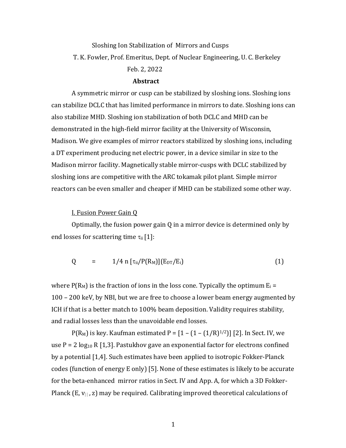# Sloshing Ion Stabilization of Mirrors and Cusps T. K. Fowler, Prof. Emeritus, Dept. of Nuclear Engineering, U. C. Berkeley Feb. 2, 2022

## **Abstract**

A symmetric mirror or cusp can be stabilized by sloshing ions. Sloshing ions can stabilize DCLC that has limited performance in mirrors to date. Sloshing ions can also stabilize MHD. Sloshing ion stabilization of both DCLC and MHD can be demonstrated in the high-field mirror facility at the University of Wisconsin, Madison. We give examples of mirror reactors stabilized by sloshing ions, including a DT experiment producing net electric power, in a device similar in size to the Madison mirror facility. Magnetically stable mirror-cusps with DCLC stabilized by sloshing ions are competitive with the ARC tokamak pilot plant. Simple mirror reactors can be even smaller and cheaper if MHD can be stabilized some other way.

## **I. Fusion Power Gain Q**

Optimally, the fusion power gain  $Q$  in a mirror device is determined only by end losses for scattering time  $\tau_{ii}[1]$ :

$$
Q = 1/4 n [\tau_{ii}/P(R_M)](E_{DT}/E_i)
$$
 (1)

where  $P(R_M)$  is the fraction of ions in the loss cone. Typically the optimum  $E_i =$ 100 – 200 keV, by NBI, but we are free to choose a lower beam energy augmented by ICH if that is a better match to 100% beam deposition. Validity requires stability, and radial losses less than the unavoidable end losses.

 $P(R_M)$  is key. Kaufman estimated  $P = [1 - (1 - (1/R)^{1/2})]$  [2]. In Sect. IV, we use  $P = 2 \log_{10} R [1,3]$ . Pastukhov gave an exponential factor for electrons confined by a potential [1,4]. Such estimates have been applied to isotropic Fokker-Planck codes (function of energy E only) [5]. None of these estimates is likely to be accurate for the beta-enhanced mirror ratios in Sect. IV and App. A, for which a 3D Fokker-Planck  $(E, v_{\parallel}, z)$  may be required. Calibrating improved theoretical calculations of

1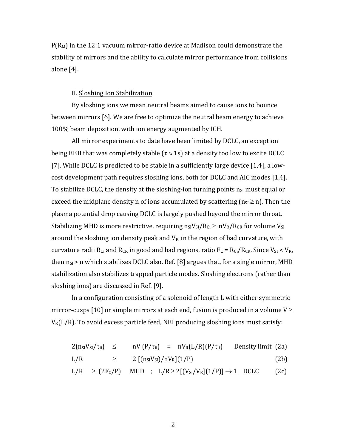$P(R_M)$  in the 12:1 vacuum mirror-ratio device at Madison could demonstrate the stability of mirrors and the ability to calculate mirror performance from collisions alone [4].

## II. Sloshing Ion Stabilization

By sloshing ions we mean neutral beams aimed to cause ions to bounce between mirrors [6]. We are free to optimize the neutral beam energy to achieve 100% beam deposition, with ion energy augmented by ICH.

All mirror experiments to date have been limited by DCLC, an exception being BBII that was completely stable  $(\tau \approx 1s)$  at a density too low to excite DCLC [7]. While DCLC is predicted to be stable in a sufficiently large device  $[1,4]$ , a lowcost development path requires sloshing ions, both for DCLC and AIC modes [1,4]. To stabilize DCLC, the density at the sloshing-ion turning points  $n_{SI}$  must equal or exceed the midplane density n of ions accumulated by scattering  $(n_{SI} \ge n)$ . Then the plasma potential drop causing DCLC is largely pushed beyond the mirror throat. Stabilizing MHD is more restrictive, requiring  $n_{SI}/R_{Ci} \geq nV_R/R_{CR}$  for volume  $V_{SI}$ around the sloshing ion density peak and  $V_R$  in the region of bad curvature, with curvature radii  $R_{Ci}$  and  $R_{CR}$  in good and bad regions, ratio  $F_C = R_{Ci}/R_{CR}$ . Since  $V_{SI} < V_{R}$ , then  $n_{SI}$  > n which stabilizes DCLC also. Ref. [8] argues that, for a single mirror, MHD stabilization also stabilizes trapped particle modes. Sloshing electrons (rather than sloshing ions) are discussed in Ref. [9].

In a configuration consisting of a solenoid of length L with either symmetric mirror-cusps [10] or simple mirrors at each end, fusion is produced in a volume  $V \geq$  $V_R(L/R)$ . To avoid excess particle feed, NBI producing sloshing ions must satisfy:

$$
2(n_{SI}V_{SI}/\tau_{ii}) \leq nV(P/\tau_{ii}) = nV_R(L/R)(P/\tau_{ii})
$$
 Density limit (2a)

$$
L/R \qquad \geq \qquad 2 \left[ (n_{SI} V_{SI})/n V_R \right] (1/P) \qquad \qquad (2b)
$$

$$
L/R \geq (2F_c/P) \quad \text{MHD} \quad ; \quad L/R \geq 2[(V_{SI}/V_R](1/P)] \rightarrow 1 \quad \text{DCLC} \tag{2c}
$$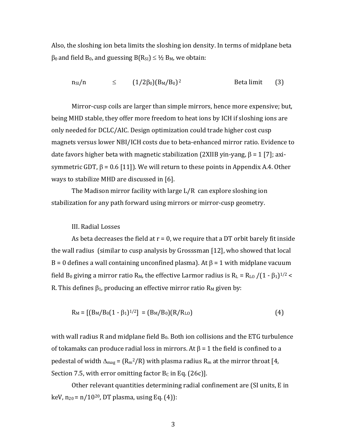Also, the sloshing ion beta limits the sloshing ion density. In terms of midplane beta  $\beta_0$  and field  $B_0$ , and guessing  $B(R_{SI}) \leq \frac{1}{2}$   $B_M$ , we obtain:

 $n_{SI}/n \leq (1/2\beta_0)(B_M/B_0)^2$  Beta limit (3)

Mirror-cusp coils are larger than simple mirrors, hence more expensive; but, being MHD stable, they offer more freedom to heat ions by ICH if sloshing ions are only needed for DCLC/AIC. Design optimization could trade higher cost cusp magnets versus lower NBI/ICH costs due to beta-enhanced mirror ratio. Evidence to date favors higher beta with magnetic stabilization (2XIIB yin-yang,  $\beta = 1$  [7]; axisymmetric GDT,  $\beta$  = 0.6 [11]). We will return to these points in Appendix A.4. Other ways to stabilize MHD are discussed in [6].

The Madison mirror facility with large  $L/R$  can explore sloshing ion stabilization for any path forward using mirrors or mirror-cusp geometry.

## III. Radial Losses

As beta decreases the field at  $r = 0$ , we require that a DT orbit barely fit inside the wall radius (similar to cusp analysis by Grosssman  $[12]$ , who showed that local B = 0 defines a wall containing unconfined plasma). At  $\beta$  = 1 with midplane vacuum field  $B_0$  giving a mirror ratio  $R_M$ , the effective Larmor radius is  $R_L = R_{LO} / (1 - \beta_1)^{1/2}$  < R. This defines  $\beta_1$ , producing an effective mirror ratio  $R_M$  given by:

$$
R_M = [(B_M/B_0(1 - \beta_1)^{1/2}] = (B_M/B_0)(R/R_{LO})
$$
\n(4)

with wall radius R and midplane field  $B_0$ . Both ion collisions and the ETG turbulence of tokamaks can produce radial loss in mirrors. At  $\beta = 1$  the field is confined to a pedestal of width  $\Delta_{\text{mag}} = (R_m^2/R)$  with plasma radius  $R_m$  at the mirror throat [4, Section 7.5, with error omitting factor  $B_C$  in Eq. (26c)].

Other relevant quantities determining radial confinement are (SI units, E in keV,  $n_{20} = n/10^{20}$ , DT plasma, using Eq. (4)):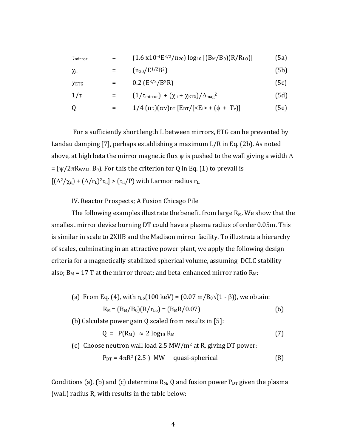| $\tau_{mirror}$ |     | $(1.6 \times 10^{-4}E^{3/2}/n_{20}) \log_{10} [(B_M/B_0)(R/R_{LO})]$                                                         | (5a) |
|-----------------|-----|------------------------------------------------------------------------------------------------------------------------------|------|
| $\chi$ ii       | =   | $(n_{20}/E^{1/2}B^2)$                                                                                                        | (5b) |
| $\chi$ ETG      | $=$ | 0.2 $(E^{3/2}/B^2R)$                                                                                                         | (5c) |
| $1/\tau$        |     | $(1/\tau_{mirror}) + (\chi_{ii} + \chi_{ETG})/\Delta_{mag}^2$                                                                | (5d) |
| Q               |     | $1/4$ (n $\tau$ )( $\sigma$ V) <sub>DT</sub> [E <sub>DT</sub> /[ <e<sub>i&gt; + (<math>\phi</math> + T<sub>e</sub>)]</e<sub> | [5e] |

For a sufficiently short length L between mirrors, ETG can be prevented by Landau damping [7], perhaps establishing a maximum  $L/R$  in Eq. (2b). As noted above, at high beta the mirror magnetic flux  $\psi$  is pushed to the wall giving a width  $\Delta$  $=$  ( $\psi/2\pi R_{\text{WALL}}$  B<sub>0</sub>). For this the criterion for Q in Eq. (1) to prevail is  $[(\Delta^2/\chi_{\rm ii}) + (\Delta/r_{\rm L})^2\tau_{\rm ii}] > (\tau_{\rm ii}/P)$  with Larmor radius r<sub>L.</sub>

IV. Reactor Prospects; A Fusion Chicago Pile

The following examples illustrate the benefit from large  $R_M$ . We show that the smallest mirror device burning DT could have a plasma radius of order 0.05m. This is similar in scale to 2XIIB and the Madison mirror facility. To illustrate a hierarchy of scales, culminating in an attractive power plant, we apply the following design criteria for a magnetically-stabilized spherical volume, assuming DCLC stability also;  $B_M = 17$  T at the mirror throat; and beta-enhanced mirror ratio  $R_M$ :

- (a) From Eq. (4), with  $r_{Lo}(100 \text{ keV}) = (0.07 \text{ m}/B_0\sqrt{(1-\beta)})$ , we obtain:  $R_M = (B_M/B_0)(R/r_{Lo}) = (B_MR/0.07)$  (6) (b) Calculate power gain  $Q$  scaled from results in [5]:  $Q = P(R_M) \approx 2 \log_{10} R_M$  (7)
- (c) Choose neutron wall load  $2.5 \text{ MW/m}^2$  at R, giving DT power:

$$
P_{DT} = 4\pi R^2 (2.5) \text{ MW} \quad \text{quasi-spherical} \tag{8}
$$

Conditions (a), (b) and (c) determine  $R_M$ , Q and fusion power  $P_{DT}$  given the plasma (wall) radius R, with results in the table below: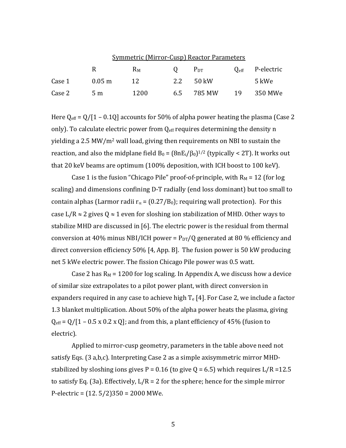|        | <b>Symmetric (Mirror-Cusp) Reactor Parameters</b> |      |   |               |  |                             |
|--------|---------------------------------------------------|------|---|---------------|--|-----------------------------|
|        | R.                                                | Rм   | Q | $P_{DT}$      |  | $Q_{\text{eff}}$ P-electric |
| Case 1 | $0.05 \; \mathrm{m}$                              | 12.  |   | 2.2 50 kW     |  | 5 kWe                       |
| Case 2 | 5 <sub>m</sub>                                    | 1200 |   | 6.5 785 MW 19 |  | 350 MWe                     |

Here  $Q_{\text{eff}} = Q/[1 - 0.1Q]$  accounts for 50% of alpha power heating the plasma (Case 2 only). To calculate electric power from  $Q_{\text{eff}}$  requires determining the density n yielding a 2.5 MW/m<sup>2</sup> wall load, giving then requirements on NBI to sustain the reaction, and also the midplane field  $B_0 = (8nE_i/\beta_0)^{1/2}$  (typically < 2T). It works out that 20 keV beams are optimum  $(100\%$  deposition, with ICH boost to 100 keV).

Case 1 is the fusion "Chicago Pile" proof-of-principle, with  $R_M = 12$  (for log scaling) and dimensions confining D-T radially (end loss dominant) but too small to contain alphas (Larmor radii  $r_\alpha$  = (0.27/B<sub>0</sub>); requiring wall protection). For this case L/R  $\approx$  2 gives Q  $\approx$  1 even for sloshing ion stabilization of MHD. Other ways to stabilize MHD are discussed in  $[6]$ . The electric power is the residual from thermal conversion at 40% minus NBI/ICH power =  $P_{DT}/Q$  generated at 80 % efficiency and direct conversion efficiency  $50\%$  [4, App. B]. The fusion power is 50 kW producing net 5 kWe electric power. The fission Chicago Pile power was 0.5 watt.

Case 2 has  $R_M$  = 1200 for log scaling. In Appendix A, we discuss how a device of similar size extrapolates to a pilot power plant, with direct conversion in expanders required in any case to achieve high  $T_e$  [4]. For Case 2, we include a factor 1.3 blanket multiplication. About 50% of the alpha power heats the plasma, giving  $Q_{\text{eff}} = Q/[1 - 0.5 \times 0.2 \times Q]$ ; and from this, a plant efficiency of 45% (fusion to electric). 

Applied to mirror-cusp geometry, parameters in the table above need not satisfy Eqs. (3 a,b,c). Interpreting Case 2 as a simple axisymmetric mirror MHDstabilized by sloshing ions gives  $P = 0.16$  (to give  $Q = 6.5$ ) which requires  $L/R = 12.5$ to satisfy Eq. (3a). Effectively,  $L/R = 2$  for the sphere; hence for the simple mirror P-electric =  $(12.5/2)350 = 2000$  MWe.

5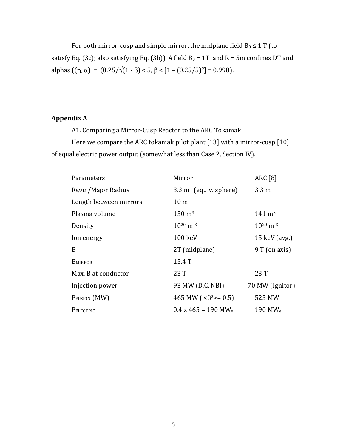For both mirror-cusp and simple mirror, the midplane field  $B_0 \leq 1$  T (to satisfy Eq. (3c); also satisfying Eq. (3b)). A field  $B_0 = 1T$  and  $R = 5m$  confines DT and alphas  $((r<sub>L</sub> \alpha) = (0.25/\sqrt{(1-\beta)} < 5, \beta < [1 - (0.25/5)^2] = 0.998)$ .

## **Appendix A**

A1. Comparing a Mirror-Cusp Reactor to the ARC Tokamak

Here we compare the ARC tokamak pilot plant  $[13]$  with a mirror-cusp  $[10]$ of equal electric power output (somewhat less than Case 2, Section IV).

| <b>Parameters</b>               | Mirror                                   | <b>ARC</b> [8]            |
|---------------------------------|------------------------------------------|---------------------------|
| R <sub>WALL</sub> /Major Radius | 3.3 m (equiv. sphere)                    | $3.3 \text{ m}$           |
| Length between mirrors          | 10 <sub>m</sub>                          |                           |
| Plasma volume                   | $150 \; \mathrm{m}^3$                    | $141 \text{ m}^3$         |
| Density                         | $10^{20}$ m <sup>-3</sup>                | $10^{20}$ m <sup>-3</sup> |
| Ion energy                      | 100 keV                                  | 15 keV (avg.)             |
| B                               | 2T (midplane)                            | 9 T (on axis)             |
| <b>BMIRROR</b>                  | 15.4 T                                   |                           |
| Max. B at conductor             | 23T                                      | 23T                       |
| Injection power                 | 93 MW (D.C. NBI)                         | 70 MW (Ignitor)           |
| P <sub>FUSION</sub> (MW)        | 465 MW ( $\langle 6^{2} \rangle = 0.5$ ) | 525 MW                    |
| PELECTRIC                       | $0.4 \times 465 = 190$ MW <sub>e</sub>   | 190 MW $_{\rm e}$         |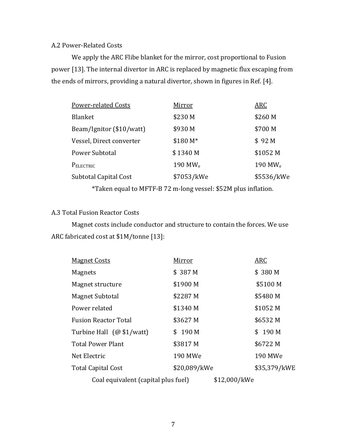## A.2 Power-Related Costs

We apply the ARC Flibe blanket for the mirror, cost proportional to Fusion power [13]. The internal divertor in ARC is replaced by magnetic flux escaping from the ends of mirrors, providing a natural divertor, shown in figures in Ref. [4].

| <b>Power-related Costs</b> | Mirror              | ARC                 |
|----------------------------|---------------------|---------------------|
| <b>Blanket</b>             | \$230 M             | \$260 M             |
| Beam/Ignitor (\$10/watt)   | \$930 M             | \$700 M             |
| Vessel, Direct converter   | \$180 M*            | \$92 <sub>M</sub>   |
| Power Subtotal             | \$1340 M            | \$1052 M            |
| PELECTRIC                  | 190 MW <sub>e</sub> | 190 MW <sub>e</sub> |
| Subtotal Capital Cost      | \$7053/kWe          | \$5536/kWe          |
|                            |                     |                     |

\*Taken equal to MFTF-B 72 m-long vessel: \$52M plus inflation.

# A.3 Total Fusion Reactor Costs

Magnet costs include conductor and structure to contain the forces. We use ARC fabricated cost at \$1M/tonne [13]:

| <b>Magnet Costs</b>                 | Mirror       | <b>ARC</b>   |
|-------------------------------------|--------------|--------------|
| <b>Magnets</b>                      | \$387M       | \$380 M      |
| Magnet structure                    | \$1900 M     | \$5100 M     |
| Magnet Subtotal                     | \$2287 M     | \$5480 M     |
| Power related                       | \$1340 M     | \$1052 M     |
| <b>Fusion Reactor Total</b>         | \$3627 M     | \$6532 M     |
| Turbine Hall (@\$1/watt)            | \$190 M      | \$190 M      |
| <b>Total Power Plant</b>            | \$3817 M     | \$6722 M     |
| Net Electric                        | 190 MWe      | 190 MWe      |
| <b>Total Capital Cost</b>           | \$20,089/kWe | \$35,379/kWE |
| Coal equivalent (capital plus fuel) | \$12,000/kWe |              |